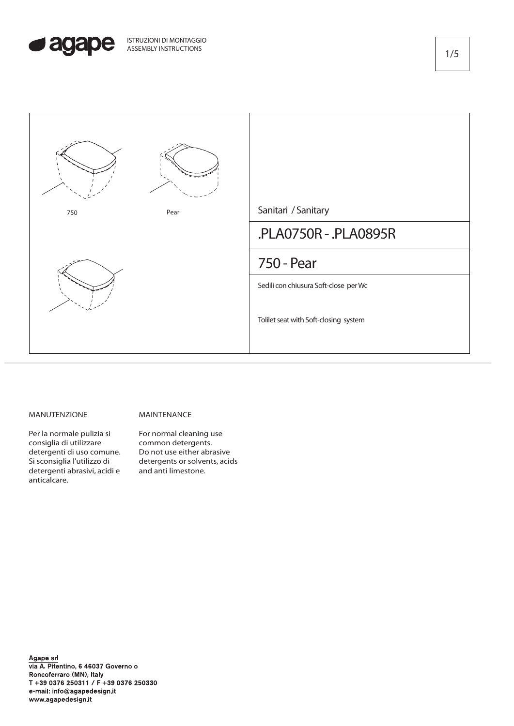



## MANUTENZIONE

## MAINTENANCE

Per la normale pulizia si consiglia di utilizzare detergenti di uso comune. Si sconsiglia l'utilizzo di detergenti abrasivi, acidi e anticalcare.

For normal cleaning use common detergents. Do not use either abrasive detergents or solvents, acids and anti limestone.

Agape srl<br>via A. Pitentino, 6 46037 Governolo Roncoferraro (MN), Italy T +39 0376 250311 / F +39 0376 250330 e-mail: info@agapedesign.it www.agapedesign.it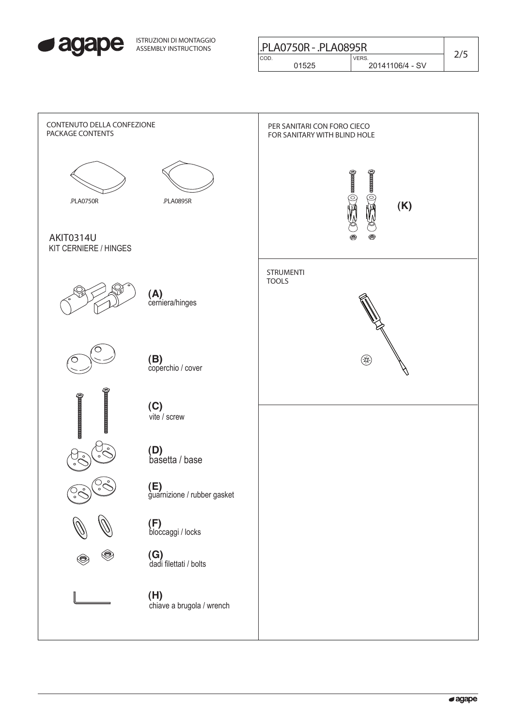

| ISTRUZIONI DI MONTAGGIO<br>ASSEMBLY INSTRUCTIONS | PLA0750R - .PLA0895R |                 |  |
|--------------------------------------------------|----------------------|-----------------|--|
|                                                  | CO <sub>D</sub>      | <b>VERS</b>     |  |
|                                                  | 01525                | 20141106/4 - SV |  |
|                                                  |                      |                 |  |

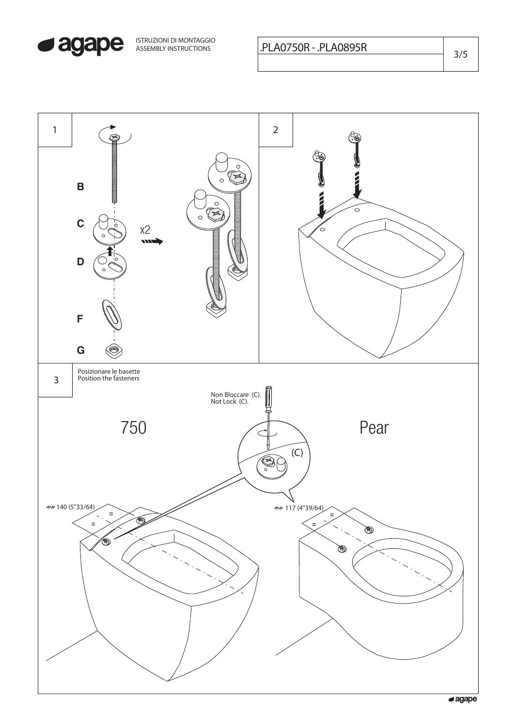

ISTRUZIONI DI MONTAGGIO

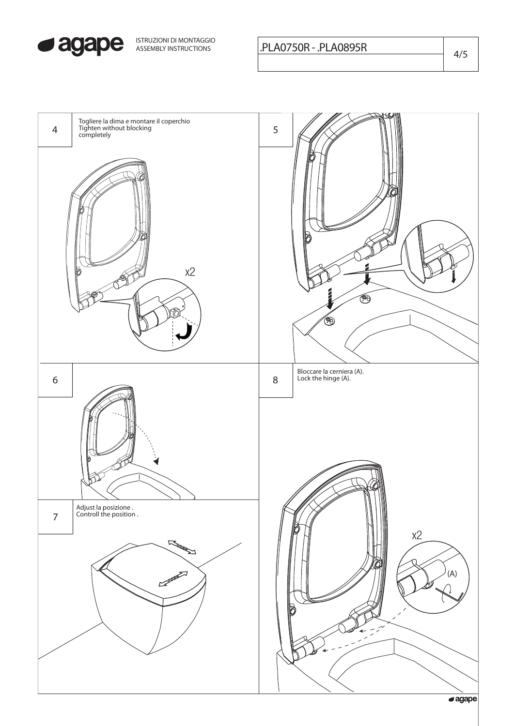

ISTRUZIONI DI MONTAGGIO